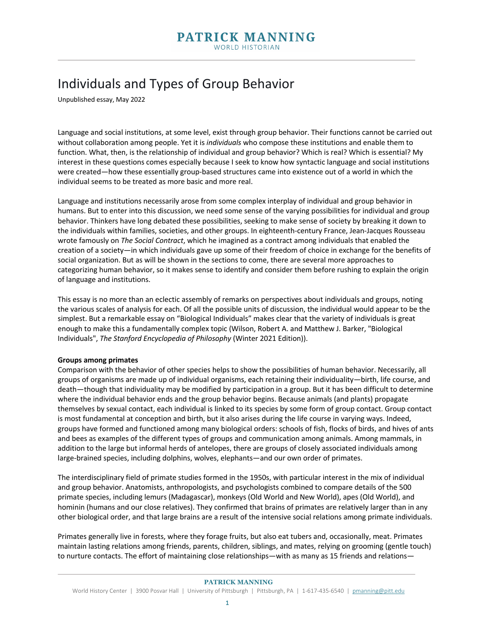# Individuals and Types of Group Behavior

Unpublished essay, May 2022

Language and social institutions, at some level, exist through group behavior. Their functions cannot be carried out without collaboration among people. Yet it is *individuals* who compose these institutions and enable them to function. What, then, is the relationship of individual and group behavior? Which is real? Which is essential? My interest in these questions comes especially because I seek to know how syntactic language and social institutions were created—how these essentially group-based structures came into existence out of a world in which the individual seems to be treated as more basic and more real.

Language and institutions necessarily arose from some complex interplay of individual and group behavior in humans. But to enter into this discussion, we need some sense of the varying possibilities for individual and group behavior. Thinkers have long debated these possibilities, seeking to make sense of society by breaking it down to the individuals within families, societies, and other groups. In eighteenth-century France, Jean-Jacques Rousseau wrote famously on *The Social Contract*, which he imagined as a contract among individuals that enabled the creation of a society—in which individuals gave up some of their freedom of choice in exchange for the benefits of social organization. But as will be shown in the sections to come, there are several more approaches to categorizing human behavior, so it makes sense to identify and consider them before rushing to explain the origin of language and institutions.

This essay is no more than an eclectic assembly of remarks on perspectives about individuals and groups, noting the various scales of analysis for each. Of all the possible units of discussion, the individual would appear to be the simplest. But a remarkable essay on "Biological Individuals" makes clear that the variety of individuals is great enough to make this a fundamentally complex topic (Wilson, Robert A. and Matthew J. Barker, "Biological Individuals", *The Stanford Encyclopedia of Philosophy* (Winter 2021 Edition)).

#### **Groups among primates**

Comparison with the behavior of other species helps to show the possibilities of human behavior. Necessarily, all groups of organisms are made up of individual organisms, each retaining their individuality—birth, life course, and death—though that individuality may be modified by participation in a group. But it has been difficult to determine where the individual behavior ends and the group behavior begins. Because animals (and plants) propagate themselves by sexual contact, each individual is linked to its species by some form of group contact. Group contact is most fundamental at conception and birth, but it also arises during the life course in varying ways. Indeed, groups have formed and functioned among many biological orders: schools of fish, flocks of birds, and hives of ants and bees as examples of the different types of groups and communication among animals. Among mammals, in addition to the large but informal herds of antelopes, there are groups of closely associated individuals among large-brained species, including dolphins, wolves, elephants—and our own order of primates.

The interdisciplinary field of primate studies formed in the 1950s, with particular interest in the mix of individual and group behavior. Anatomists, anthropologists, and psychologists combined to compare details of the 500 primate species, including lemurs (Madagascar), monkeys (Old World and New World), apes (Old World), and hominin (humans and our close relatives). They confirmed that brains of primates are relatively larger than in any other biological order, and that large brains are a result of the intensive social relations among primate individuals.

Primates generally live in forests, where they forage fruits, but also eat tubers and, occasionally, meat. Primates maintain lasting relations among friends, parents, children, siblings, and mates, relying on grooming (gentle touch) to nurture contacts. The effort of maintaining close relationships—with as many as 15 friends and relations—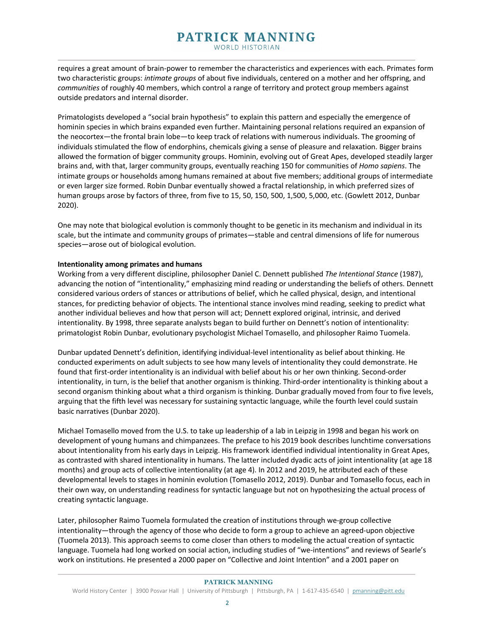requires a great amount of brain-power to remember the characteristics and experiences with each. Primates form two characteristic groups: *intimate groups* of about five individuals, centered on a mother and her offspring, and *communities* of roughly 40 members, which control a range of territory and protect group members against outside predators and internal disorder.

Primatologists developed a "social brain hypothesis" to explain this pattern and especially the emergence of hominin species in which brains expanded even further. Maintaining personal relations required an expansion of the neocortex—the frontal brain lobe—to keep track of relations with numerous individuals. The grooming of individuals stimulated the flow of endorphins, chemicals giving a sense of pleasure and relaxation. Bigger brains allowed the formation of bigger community groups. Hominin, evolving out of Great Apes, developed steadily larger brains and, with that, larger community groups, eventually reaching 150 for communities of *Homo sapiens*. The intimate groups or households among humans remained at about five members; additional groups of intermediate or even larger size formed. Robin Dunbar eventually showed a fractal relationship, in which preferred sizes of human groups arose by factors of three, from five to 15, 50, 150, 500, 1,500, 5,000, etc. (Gowlett 2012, Dunbar 2020).

One may note that biological evolution is commonly thought to be genetic in its mechanism and individual in its scale, but the intimate and community groups of primates—stable and central dimensions of life for numerous species—arose out of biological evolution.

## **Intentionality among primates and humans**

Working from a very different discipline, philosopher Daniel C. Dennett published *The Intentional Stance* (1987), advancing the notion of "intentionality," emphasizing mind reading or understanding the beliefs of others. Dennett considered various orders of stances or attributions of belief, which he called physical, design, and intentional stances, for predicting behavior of objects. The intentional stance involves mind reading, seeking to predict what another individual believes and how that person will act; Dennett explored original, intrinsic, and derived intentionality. By 1998, three separate analysts began to build further on Dennett's notion of intentionality: primatologist Robin Dunbar, evolutionary psychologist Michael Tomasello, and philosopher Raimo Tuomela.

Dunbar updated Dennett's definition, identifying individual-level intentionality as belief about thinking. He conducted experiments on adult subjects to see how many levels of intentionality they could demonstrate. He found that first-order intentionality is an individual with belief about his or her own thinking. Second-order intentionality, in turn, is the belief that another organism is thinking. Third-order intentionality is thinking about a second organism thinking about what a third organism is thinking. Dunbar gradually moved from four to five levels, arguing that the fifth level was necessary for sustaining syntactic language, while the fourth level could sustain basic narratives (Dunbar 2020).

Michael Tomasello moved from the U.S. to take up leadership of a lab in Leipzig in 1998 and began his work on development of young humans and chimpanzees. The preface to his 2019 book describes lunchtime conversations about intentionality from his early days in Leipzig. His framework identified individual intentionality in Great Apes, as contrasted with shared intentionality in humans. The latter included dyadic acts of joint intentionality (at age 18 months) and group acts of collective intentionality (at age 4). In 2012 and 2019, he attributed each of these developmental levels to stages in hominin evolution (Tomasello 2012, 2019). Dunbar and Tomasello focus, each in their own way, on understanding readiness for syntactic language but not on hypothesizing the actual process of creating syntactic language.

Later, philosopher Raimo Tuomela formulated the creation of institutions through we-group collective intentionality—through the agency of those who decide to form a group to achieve an agreed-upon objective (Tuomela 2013). This approach seems to come closer than others to modeling the actual creation of syntactic language. Tuomela had long worked on social action, including studies of "we-intentions" and reviews of Searle's work on institutions. He presented a 2000 paper on "Collective and Joint Intention" and a 2001 paper on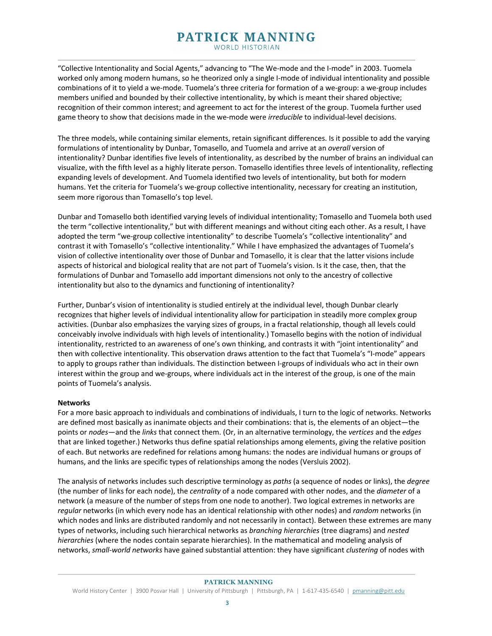# PATRICK MANNING

WORLD HISTORIAN

"Collective Intentionality and Social Agents," advancing to "The We-mode and the I-mode" in 2003. Tuomela worked only among modern humans, so he theorized only a single I-mode of individual intentionality and possible combinations of it to yield a we-mode. Tuomela's three criteria for formation of a we-group: a we-group includes members unified and bounded by their collective intentionality, by which is meant their shared objective; recognition of their common interest; and agreement to act for the interest of the group. Tuomela further used game theory to show that decisions made in the we-mode were *irreducible* to individual-level decisions.

The three models, while containing similar elements, retain significant differences. Is it possible to add the varying formulations of intentionality by Dunbar, Tomasello, and Tuomela and arrive at an *overall* version of intentionality? Dunbar identifies five levels of intentionality, as described by the number of brains an individual can visualize, with the fifth level as a highly literate person. Tomasello identifies three levels of intentionality, reflecting expanding levels of development. And Tuomela identified two levels of intentionality, but both for modern humans. Yet the criteria for Tuomela's we-group collective intentionality, necessary for creating an institution, seem more rigorous than Tomasello's top level.

Dunbar and Tomasello both identified varying levels of individual intentionality; Tomasello and Tuomela both used the term "collective intentionality," but with different meanings and without citing each other. As a result, I have adopted the term "we-group collective intentionality" to describe Tuomela's "collective intentionality" and contrast it with Tomasello's "collective intentionality." While I have emphasized the advantages of Tuomela's vision of collective intentionality over those of Dunbar and Tomasello, it is clear that the latter visions include aspects of historical and biological reality that are not part of Tuomela's vision. Is it the case, then, that the formulations of Dunbar and Tomasello add important dimensions not only to the ancestry of collective intentionality but also to the dynamics and functioning of intentionality?

Further, Dunbar's vision of intentionality is studied entirely at the individual level, though Dunbar clearly recognizes that higher levels of individual intentionality allow for participation in steadily more complex group activities. (Dunbar also emphasizes the varying sizes of groups, in a fractal relationship, though all levels could conceivably involve individuals with high levels of intentionality.) Tomasello begins with the notion of individual intentionality, restricted to an awareness of one's own thinking, and contrasts it with "joint intentionality" and then with collective intentionality. This observation draws attention to the fact that Tuomela's "I-mode" appears to apply to groups rather than individuals. The distinction between I-groups of individuals who act in their own interest within the group and we-groups, where individuals act in the interest of the group, is one of the main points of Tuomela's analysis.

#### **Networks**

For a more basic approach to individuals and combinations of individuals, I turn to the logic of networks. Networks are defined most basically as inanimate objects and their combinations: that is, the elements of an object—the points or *nodes*—and the *links* that connect them. (Or, in an alternative terminology, the *vertices* and the *edges*  that are linked together.) Networks thus define spatial relationships among elements, giving the relative position of each. But networks are redefined for relations among humans: the nodes are individual humans or groups of humans, and the links are specific types of relationships among the nodes (Versluis 2002).

The analysis of networks includes such descriptive terminology as *paths* (a sequence of nodes or links), the *degree*  (the number of links for each node), the *centrality* of a node compared with other nodes, and the *diameter* of a network (a measure of the number of steps from one node to another). Two logical extremes in networks are *regular* networks (in which every node has an identical relationship with other nodes) and *random* networks (in which nodes and links are distributed randomly and not necessarily in contact). Between these extremes are many types of networks, including such hierarchical networks as *branching hierarchies* (tree diagrams) and *nested hierarchies* (where the nodes contain separate hierarchies). In the mathematical and modeling analysis of networks, *small-world networks* have gained substantial attention: they have significant *clustering* of nodes with

#### **PATRICK MANNING**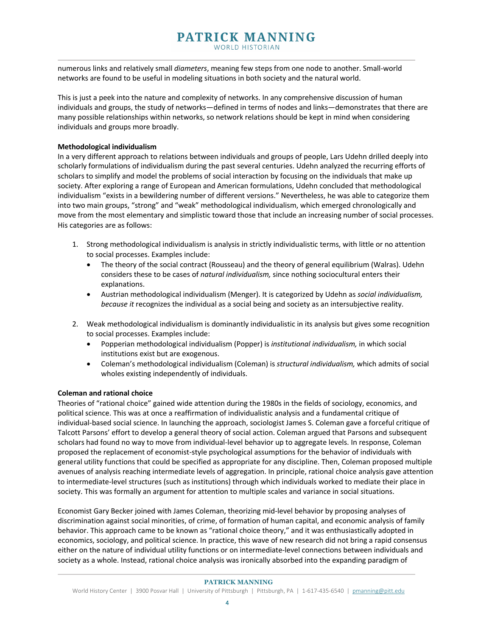numerous links and relatively small *diameters*, meaning few steps from one node to another. Small-world networks are found to be useful in modeling situations in both society and the natural world.

This is just a peek into the nature and complexity of networks. In any comprehensive discussion of human individuals and groups, the study of networks—defined in terms of nodes and links—demonstrates that there are many possible relationships within networks, so network relations should be kept in mind when considering individuals and groups more broadly.

## **Methodological individualism**

In a very different approach to relations between individuals and groups of people, Lars Udehn drilled deeply into scholarly formulations of individualism during the past several centuries. Udehn analyzed the recurring efforts of scholars to simplify and model the problems of social interaction by focusing on the individuals that make up society. After exploring a range of European and American formulations, Udehn concluded that methodological individualism "exists in a bewildering number of different versions." Nevertheless, he was able to categorize them into two main groups, "strong" and "weak" methodological individualism, which emerged chronologically and move from the most elementary and simplistic toward those that include an increasing number of social processes. His categories are as follows:

- 1. Strong methodological individualism is analysis in strictly individualistic terms, with little or no attention to social processes. Examples include:
	- The theory of the social contract (Rousseau) and the theory of general equilibrium (Walras). Udehn considers these to be cases of *natural individualism,* since nothing sociocultural enters their explanations.
	- Austrian methodological individualism (Menger). It is categorized by Udehn as *social individualism, because it* recognizes the individual as a social being and society as an intersubjective reality.
- 2. Weak methodological individualism is dominantly individualistic in its analysis but gives some recognition to social processes. Examples include:
	- Popperian methodological individualism (Popper) is *institutional individualism,* in which social institutions exist but are exogenous.
	- Coleman's methodological individualism (Coleman) is *structural individualism,* which admits of social wholes existing independently of individuals.

## **Coleman and rational choice**

Theories of "rational choice" gained wide attention during the 1980s in the fields of sociology, economics, and political science. This was at once a reaffirmation of individualistic analysis and a fundamental critique of individual-based social science. In launching the approach, sociologist James S. Coleman gave a forceful critique of Talcott Parsons' effort to develop a general theory of social action. Coleman argued that Parsons and subsequent scholars had found no way to move from individual-level behavior up to aggregate levels. In response, Coleman proposed the replacement of economist-style psychological assumptions for the behavior of individuals with general utility functions that could be specified as appropriate for any discipline. Then, Coleman proposed multiple avenues of analysis reaching intermediate levels of aggregation. In principle, rational choice analysis gave attention to intermediate-level structures (such as institutions) through which individuals worked to mediate their place in society. This was formally an argument for attention to multiple scales and variance in social situations.

Economist Gary Becker joined with James Coleman, theorizing mid-level behavior by proposing analyses of discrimination against social minorities, of crime, of formation of human capital, and economic analysis of family behavior. This approach came to be known as "rational choice theory," and it was enthusiastically adopted in economics, sociology, and political science. In practice, this wave of new research did not bring a rapid consensus either on the nature of individual utility functions or on intermediate-level connections between individuals and society as a whole. Instead, rational choice analysis was ironically absorbed into the expanding paradigm of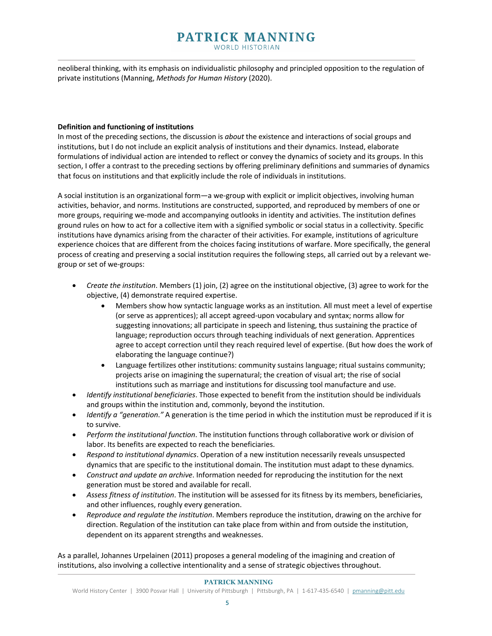neoliberal thinking, with its emphasis on individualistic philosophy and principled opposition to the regulation of private institutions (Manning, *Methods for Human History* (2020).

## **Definition and functioning of institutions**

In most of the preceding sections, the discussion is *about* the existence and interactions of social groups and institutions, but I do not include an explicit analysis of institutions and their dynamics. Instead, elaborate formulations of individual action are intended to reflect or convey the dynamics of society and its groups. In this section, I offer a contrast to the preceding sections by offering preliminary definitions and summaries of dynamics that focus on institutions and that explicitly include the role of individuals in institutions.

A social institution is an organizational form—a we-group with explicit or implicit objectives, involving human activities, behavior, and norms. Institutions are constructed, supported, and reproduced by members of one or more groups, requiring we-mode and accompanying outlooks in identity and activities. The institution defines ground rules on how to act for a collective item with a signified symbolic or social status in a collectivity. Specific institutions have dynamics arising from the character of their activities. For example, institutions of agriculture experience choices that are different from the choices facing institutions of warfare. More specifically, the general process of creating and preserving a social institution requires the following steps, all carried out by a relevant wegroup or set of we-groups:

- *Create the institution*. Members (1) join, (2) agree on the institutional objective, (3) agree to work for the objective, (4) demonstrate required expertise.
	- Members show how syntactic language works as an institution. All must meet a level of expertise (or serve as apprentices); all accept agreed-upon vocabulary and syntax; norms allow for suggesting innovations; all participate in speech and listening, thus sustaining the practice of language; reproduction occurs through teaching individuals of next generation. Apprentices agree to accept correction until they reach required level of expertise. (But how does the work of elaborating the language continue?)
	- Language fertilizes other institutions: community sustains language; ritual sustains community; projects arise on imagining the supernatural; the creation of visual art; the rise of social institutions such as marriage and institutions for discussing tool manufacture and use.
- *Identify institutional beneficiaries*. Those expected to benefit from the institution should be individuals and groups within the institution and, commonly, beyond the institution.
- *Identify a "generation*.*"* A generation is the time period in which the institution must be reproduced if it is to survive.
- *Perform the institutional function*. The institution functions through collaborative work or division of labor. Its benefits are expected to reach the beneficiaries.
- *Respond to institutional dynamics*. Operation of a new institution necessarily reveals unsuspected dynamics that are specific to the institutional domain. The institution must adapt to these dynamics.
- *Construct and update an archive*. Information needed for reproducing the institution for the next generation must be stored and available for recall.
- *Assess fitness of institution*. The institution will be assessed for its fitness by its members, beneficiaries, and other influences, roughly every generation.
- *Reproduce and regulate the institution*. Members reproduce the institution, drawing on the archive for direction. Regulation of the institution can take place from within and from outside the institution, dependent on its apparent strengths and weaknesses.

As a parallel, Johannes Urpelainen (2011) proposes a general modeling of the imagining and creation of institutions, also involving a collective intentionality and a sense of strategic objectives throughout.

#### **PATRICK MANNING**